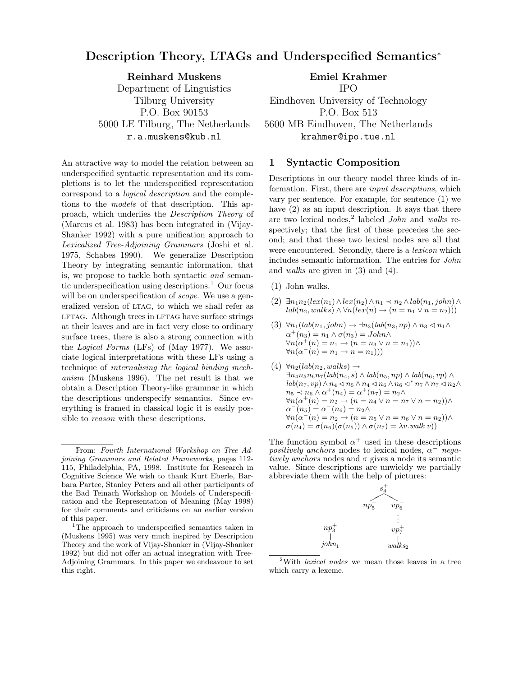# Description Theory, LTAGs and Underspecified Semantics<sup>∗</sup>

Reinhard Muskens Department of Linguistics Tilburg University P.O. Box 90153 5000 LE Tilburg, The Netherlands r.a.muskens@kub.nl

An attractive way to model the relation between an underspecified syntactic representation and its completions is to let the underspecified representation correspond to a logical description and the completions to the models of that description. This approach, which underlies the Description Theory of (Marcus et al. 1983) has been integrated in (Vijay-Shanker 1992) with a pure unification approach to Lexicalized Tree-Adjoining Grammars (Joshi et al. 1975, Schabes 1990). We generalize Description Theory by integrating semantic information, that is, we propose to tackle both syntactic and semantic underspecification using descriptions.<sup>1</sup> Our focus will be on underspecification of *scope*. We use a generalized version of LTAG, to which we shall refer as LFTAG. Although trees in LFTAG have surface strings at their leaves and are in fact very close to ordinary surface trees, there is also a strong connection with the Logical Forms (LFs) of (May 1977). We associate logical interpretations with these LFs using a technique of internalising the logical binding mechanism (Muskens 1996). The net result is that we obtain a Description Theory-like grammar in which the descriptions underspecify semantics. Since everything is framed in classical logic it is easily possible to reason with these descriptions.

## Emiel Krahmer IPO

Eindhoven University of Technology P.O. Box 513 5600 MB Eindhoven, The Netherlands krahmer@ipo.tue.nl

#### 1 Syntactic Composition

Descriptions in our theory model three kinds of information. First, there are *input descriptions*, which vary per sentence. For example, for sentence (1) we have (2) as an input description. It says that there are two lexical nodes,<sup>2</sup> labeled  $John$  and walks respectively; that the first of these precedes the second; and that these two lexical nodes are all that were encountered. Secondly, there is a *lexicon* which includes semantic information. The entries for John and walks are given in (3) and (4).

- (1) John walks.
- $(2) \exists n_1 n_2(lex(n_1) \land lex(n_2) \land n_1 \prec n_2 \land lab(n_1, john) \land$  $lab(n_2, walks) \wedge \forall n(lex(n) \rightarrow (n = n_1 \vee n = n_2)))$
- (3)  $\forall n_1(lab(n_1, john) \rightarrow \exists n_3(lab(n_3, np) \land n_3 \triangleleft n_1 \land n_2)$  $\alpha^+(n_3) = n_1 \wedge \sigma(n_3) = John \wedge$  $\forall n(\alpha^+(n) = n_1 \rightarrow (n = n_3 \vee n = n_1)) \wedge$  $\forall n(\alpha^-(n) = n_1 \rightarrow n = n_1)))$
- $(4) \forall n_2 (lab(n_2, walks) \rightarrow$  $\exists n_4n_5n_6n_7(lab(n_4, s) \wedge lab(n_5, np) \wedge lab(n_6, vp) \wedge$  $lab(n_7, vp) \wedge n_4 \triangleleft n_5 \wedge n_4 \triangleleft n_6 \wedge n_6 \triangleleft^* n_7 \wedge n_7 \triangleleft n_2 \wedge n_8$  $n_5 \prec n_6 \wedge \alpha^+(n_4) = \alpha^+(n_7) = n_2 \wedge$  $\forall n(\alpha^+(n) = n_2 \rightarrow (n = n_4 \vee n = n_7 \vee n = n_2)) \wedge$  $\alpha^-(n_5) = \alpha^-(n_6) = n_2 \wedge$  $\forall n(\alpha^{-}(n) = n_2 \rightarrow (n = n_5 \vee n = n_6 \vee n = n_2)) \wedge$  $\sigma(n_4) = \sigma(n_6)(\sigma(n_5)) \wedge \sigma(n_7) = \lambda v \cdot walk \ v))$

The function symbol  $\alpha^+$  used in these descriptions positively anchors nodes to lexical nodes,  $\alpha^{-1}$  negatively anchors nodes and  $\sigma$  gives a node its semantic value. Since descriptions are unwieldy we partially abbreviate them with the help of pictures:



<sup>&</sup>lt;sup>2</sup>With *lexical nodes* we mean those leaves in a tree which carry a lexeme.

<sup>∗</sup>From: Fourth International Workshop on Tree Adjoining Grammars and Related Frameworks, pages 112- 115, Philadelphia, PA, 1998. Institute for Research in Cognitive Science We wish to thank Kurt Eberle, Barbara Partee, Stanley Peters and all other participants of the Bad Teinach Workshop on Models of Underspecification and the Representation of Meaning (May 1998) for their comments and criticisms on an earlier version of this paper.

<sup>&</sup>lt;sup>1</sup>The approach to underspecified semantics taken in (Muskens 1995) was very much inspired by Description Theory and the work of Vijay-Shanker in (Vijay-Shanker 1992) but did not offer an actual integration with Tree-Adjoining Grammars. In this paper we endeavour to set this right.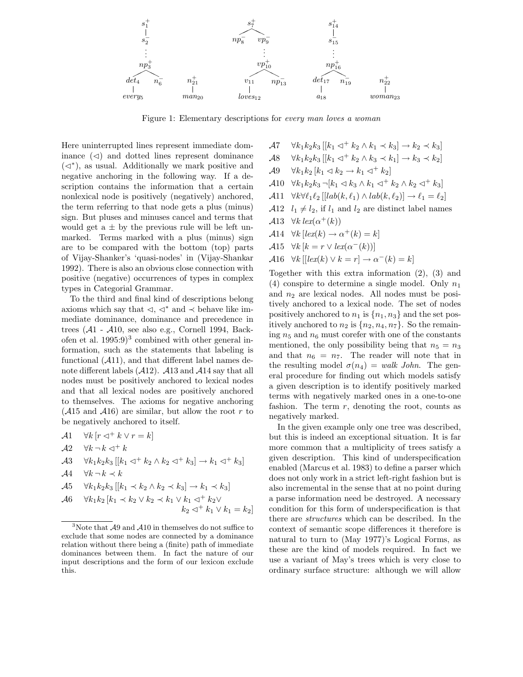

Figure 1: Elementary descriptions for every man loves a woman

 $k_2$ 

Here uninterrupted lines represent immediate dominance  $(\triangleleft)$  and dotted lines represent dominance  $(\lhd^*)$ , as usual. Additionally we mark positive and negative anchoring in the following way. If a description contains the information that a certain nonlexical node is positively (negatively) anchored, the term referring to that node gets a plus (minus) sign. But pluses and minuses cancel and terms that would get  $a \pm by$  the previous rule will be left unmarked. Terms marked with a plus (minus) sign are to be compared with the bottom (top) parts of Vijay-Shanker's 'quasi-nodes' in (Vijay-Shankar 1992). There is also an obvious close connection with positive (negative) occurrences of types in complex types in Categorial Grammar.

To the third and final kind of descriptions belong axioms which say that  $\lhd, \lhd^*$  and  $\prec$  behave like immediate dominance, dominance and precedence in trees  $(A1 - A10)$ , see also e.g., Cornell 1994, Backofen et al.  $1995:9$ <sup>3</sup> combined with other general information, such as the statements that labeling is functional  $(A11)$ , and that different label names denote different labels  $(A12)$ .  $A13$  and  $A14$  say that all nodes must be positively anchored to lexical nodes and that all lexical nodes are positively anchored to themselves. The axioms for negative anchoring  $(A15 \text{ and } A16)$  are similar, but allow the root r to be negatively anchored to itself.

$$
\begin{aligned}\n\mathcal{A}1 \quad & \forall k \left[ r \triangleleft^+ k \vee r = k \right] \\
\mathcal{A}2 \quad & \forall k \neg k \triangleleft^+ k \\
\mathcal{A}3 \quad & \forall k_1 k_2 k_3 \left[ \left[ k_1 \triangleleft^+ k_2 \wedge k_2 \triangleleft^+ k_3 \right] \right] \rightarrow k_1 \triangleleft^+ k_3 \right] \\
\mathcal{A}4 \quad & \forall k \neg k \prec k \\
\mathcal{A}5 \quad & \forall k_1 k_2 k_3 \left[ \left[ k_1 \prec k_2 \wedge k_2 \prec k_3 \right] \right] \rightarrow k_1 \prec k_3 \right] \\
\mathcal{A}6 \quad & \forall k_1 k_2 \left[ k_1 \prec k_2 \vee k_2 \prec k_1 \vee k_1 \triangleleft^+ k_2 \vee k_2 \right] \\
& k_2 \triangleleft^+ k_1 \vee k_1 = i\n\end{aligned}
$$

 $\mathcal{A}7 \quad \forall k_1 k_2 k_3 \, [[k_1 \triangleleft^+ k_2 \wedge k_1 \prec k_3] \rightarrow k_2 \prec k_3]$  $\mathcal{A}8 \quad \forall k_1 k_2 k_3 \, [[k_1 \lhd^+ k_2 \wedge k_3 \prec k_1] \rightarrow k_3 \prec k_2]$  $\mathcal{A}9 \quad \forall k_1 k_2 \left[ k_1 \triangleleft k_2 \rightarrow k_1 \triangleleft^+ k_2 \right] \right]$ A10  $\forall k_1 k_2 k_3 \neg [k_1 \triangleleft k_3 \wedge k_1 \triangleleft^+ k_2 \wedge k_2 \triangleleft^+ k_3]$ A11  $\forall k \forall \ell_1 \ell_2 \left[ [lab(k, \ell_1) \wedge lab(k, \ell_2)] \rightarrow \ell_1 = \ell_2 \right]$ A12  $l_1 \neq l_2$ , if  $l_1$  and  $l_2$  are distinct label names A13  $\forall k \, \text{lex}(\alpha^+(k))$  $\mathcal{A}$ 14  $\forall k \left[ \text{lex}(k) \rightarrow \alpha^+(k) = k \right]$ A15  $\forall k [k = r \lor lex(\alpha^{-}(k))]$  $\mathcal{A}16 \quad \forall k \, [[lex(k) \vee k = r] \rightarrow \alpha^-(k) = k]$ 

Together with this extra information (2), (3) and (4) conspire to determine a single model. Only  $n_1$ and  $n_2$  are lexical nodes. All nodes must be positively anchored to a lexical node. The set of nodes positively anchored to  $n_1$  is  $\{n_1, n_3\}$  and the set positively anchored to  $n_2$  is  $\{n_2, n_4, n_7\}$ . So the remaining  $n_5$  and  $n_6$  must corefer with one of the constants mentioned, the only possibility being that  $n_5 = n_3$ and that  $n_6 = n_7$ . The reader will note that in the resulting model  $\sigma(n_4) = walk\ John$ . The general procedure for finding out which models satisfy a given description is to identify positively marked terms with negatively marked ones in a one-to-one fashion. The term  $r$ , denoting the root, counts as negatively marked.

In the given example only one tree was described, but this is indeed an exceptional situation. It is far more common that a multiplicity of trees satisfy a given description. This kind of underspecification enabled (Marcus et al. 1983) to define a parser which does not only work in a strict left-right fashion but is also incremental in the sense that at no point during a parse information need be destroyed. A necessary condition for this form of underspecification is that there are structures which can be described. In the context of semantic scope differences it therefore is natural to turn to (May 1977)'s Logical Forms, as these are the kind of models required. In fact we use a variant of May's trees which is very close to ordinary surface structure: although we will allow

<sup>&</sup>lt;sup>3</sup>Note that  $\mathcal{A}9$  and  $\mathcal{A}10$  in themselves do not suffice to exclude that some nodes are connected by a dominance relation without there being a (finite) path of immediate dominances between them. In fact the nature of our input descriptions and the form of our lexicon exclude this.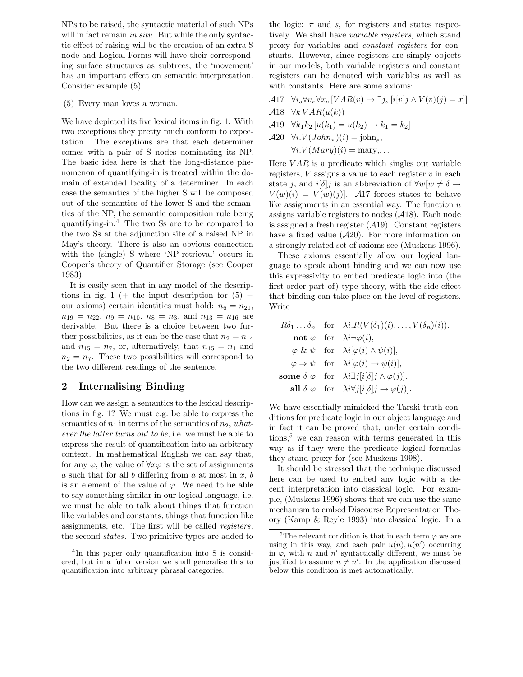NPs to be raised, the syntactic material of such NPs will in fact remain in situ. But while the only syntactic effect of raising will be the creation of an extra S node and Logical Forms will have their corresponding surface structures as subtrees, the 'movement' has an important effect on semantic interpretation. Consider example (5).

(5) Every man loves a woman.

We have depicted its five lexical items in fig. 1. With two exceptions they pretty much conform to expectation. The exceptions are that each determiner comes with a pair of S nodes dominating its NP. The basic idea here is that the long-distance phenomenon of quantifying-in is treated within the domain of extended locality of a determiner. In each case the semantics of the higher S will be composed out of the semantics of the lower S and the semantics of the NP, the semantic composition rule being quantifying-in.<sup>4</sup> The two Ss are to be compared to the two Ss at the adjunction site of a raised NP in May's theory. There is also an obvious connection with the (single) S where 'NP-retrieval' occurs in Cooper's theory of Quantifier Storage (see Cooper 1983).

It is easily seen that in any model of the descriptions in fig. 1 (+ the input description for  $(5)$  + our axioms) certain identities must hold:  $n_6 = n_{21}$ ,  $n_{19} = n_{22}, n_{9} = n_{10}, n_{8} = n_{3}, \text{ and } n_{13} = n_{16} \text{ are}$ derivable. But there is a choice between two further possibilities, as it can be the case that  $n_2 = n_{14}$ and  $n_{15} = n_7$ , or, alternatively, that  $n_{15} = n_1$  and  $n_2 = n_7$ . These two possibilities will correspond to the two different readings of the sentence.

### 2 Internalising Binding

How can we assign a semantics to the lexical descriptions in fig. 1? We must e.g. be able to express the semantics of  $n_1$  in terms of the semantics of  $n_2$ , whatever the latter turns out to be, i.e. we must be able to express the result of quantification into an arbitrary context. In mathematical English we can say that, for any  $\varphi$ , the value of  $\forall x \varphi$  is the set of assignments a such that for all b differing from a at most in  $x, b$ is an element of the value of  $\varphi$ . We need to be able to say something similar in our logical language, i.e. we must be able to talk about things that function like variables and constants, things that function like assignments, etc. The first will be called registers, the second states. Two primitive types are added to the logic:  $\pi$  and s, for registers and states respectively. We shall have variable registers, which stand proxy for variables and constant registers for constants. However, since registers are simply objects in our models, both variable registers and constant registers can be denoted with variables as well as with constants. Here are some axioms:

- A17  $\forall i_s \forall v_\pi \forall x_e [VAR(v) \rightarrow \exists j_s [i[v]j \wedge V(v)(j) = x]]$
- $\mathcal{A}$ 18  $\forall k \, VAR(u(k))$
- A19  $\forall k_1 k_2 [u(k_1) = u(k_2) \rightarrow k_1 = k_2]$

 $\mathcal{A}20 \quad \forall i. V(John_{\pi})(i) = \text{john}_{e},$  $\forall i. V (Mary)(i) = \text{mary}, \dots$ 

Here  $VAR$  is a predicate which singles out variable registers,  $V$  assigns a value to each register  $v$  in each state j, and  $i[\delta]$ j is an abbreviation of  $\forall w[w \neq \delta \rightarrow$  $V(w)(i) = V(w)(j)$ . A17 forces states to behave like assignments in an essential way. The function  $u$ assigns variable registers to nodes  $(A18)$ . Each node is assigned a fresh register  $(A19)$ . Constant registers have a fixed value  $(A20)$ . For more information on a strongly related set of axioms see (Muskens 1996).

These axioms essentially allow our logical language to speak about binding and we can now use this expressivity to embed predicate logic into (the first-order part of) type theory, with the side-effect that binding can take place on the level of registers. Write

|  | $R\delta_1 \ldots \delta_n$ for $\lambda i.R(V(\delta_1)(i), \ldots, V(\delta_n)(i)),$ |
|--|----------------------------------------------------------------------------------------|
|  | <b>not</b> $\varphi$ for $\lambda i \neg \varphi(i)$ ,                                 |
|  | $\varphi \& \psi$ for $\lambda i[\varphi(i) \wedge \psi(i)],$                          |
|  | $\varphi \Rightarrow \psi$ for $\lambda i[\varphi(i) \rightarrow \psi(i)],$            |
|  | some $\delta \varphi$ for $\lambda i \exists j [i [\delta] j \wedge \varphi(j)],$      |
|  | all $\delta \varphi$ for $\lambda i \forall j [i[\delta]j \rightarrow \varphi(j)]$ .   |

We have essentially mimicked the Tarski truth conditions for predicate logic in our object language and in fact it can be proved that, under certain conditions,<sup>5</sup> we can reason with terms generated in this way as if they were the predicate logical formulas they stand proxy for (see Muskens 1998).

It should be stressed that the technique discussed here can be used to embed any logic with a decent interpretation into classical logic. For example, (Muskens 1996) shows that we can use the same mechanism to embed Discourse Representation Theory (Kamp & Reyle 1993) into classical logic. In a

<sup>4</sup> In this paper only quantification into S is considered, but in a fuller version we shall generalise this to quantification into arbitrary phrasal categories.

<sup>&</sup>lt;sup>5</sup>The relevant condition is that in each term  $\varphi$  we are using in this way, and each pair  $u(n)$ ,  $u(n')$  occurring in  $\varphi$ , with *n* and *n'* syntactically different, we must be justified to assume  $n \neq n'$ . In the application discussed below this condition is met automatically.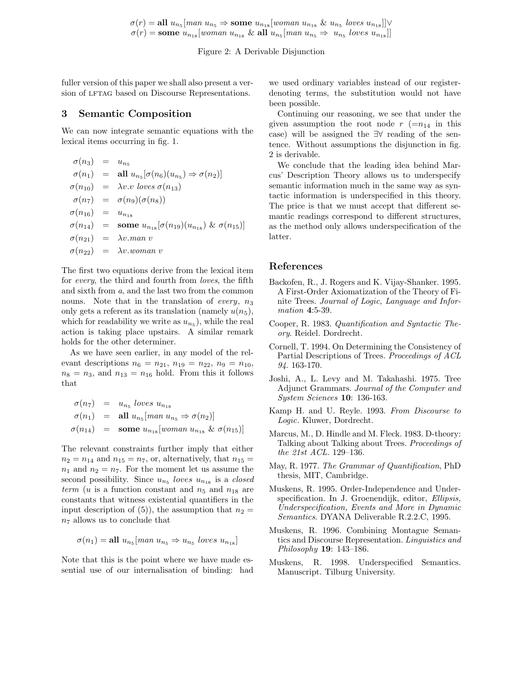$\sigma(r) = \text{all } u_{n_5}$ [man  $u_{n_5} \Rightarrow$  some  $u_{n_{18}}$ [woman  $u_{n_{18}}$  &  $u_{n_5}$  loves  $u_{n_{18}}$ ]] $\vee$  $\sigma(r) = \textbf{some } u_{n_{18}}[woman u_{n_{18}} \& \textbf{all } u_{n_5}[man u_{n_5} \Rightarrow u_{n_5}]\text{loves } u_{n_{18}}]$ 

Figure 2: A Derivable Disjunction

fuller version of this paper we shall also present a version of LFTAG based on Discourse Representations.

### 3 Semantic Composition

We can now integrate semantic equations with the lexical items occurring in fig. 1.

$$
\begin{aligned}\n\sigma(n_3) &= u_{n_5} \\
\sigma(n_1) &= \text{all } u_{n_5}[\sigma(n_6)(u_{n_5}) \Rightarrow \sigma(n_2)] \\
\sigma(n_{10}) &= \lambda v.v \text{ loves } \sigma(n_{13}) \\
\sigma(n_7) &= \sigma(n_9)(\sigma(n_8)) \\
\sigma(n_{16}) &= u_{n_{18}} \\
\sigma(n_{14}) &= \text{some } u_{n_{18}}[\sigma(n_{19})(u_{n_{18}}) \& \sigma(n_{15})] \\
\sigma(n_{21}) &= \lambda v.\text{man } v \\
\sigma(n_{22}) &= \lambda v.\text{woman } v\n\end{aligned}
$$

The first two equations derive from the lexical item for every, the third and fourth from loves, the fifth and sixth from a, and the last two from the common nouns. Note that in the translation of every,  $n_3$ only gets a referent as its translation (namely  $u(n_5)$ , which for readability we write as  $u_{n_5}$ ), while the real action is taking place upstairs. A similar remark holds for the other determiner.

As we have seen earlier, in any model of the relevant descriptions  $n_6 = n_{21}$ ,  $n_{19} = n_{22}$ ,  $n_9 = n_{10}$ ,  $n_8 = n_3$ , and  $n_{13} = n_{16}$  hold. From this it follows that

$$
\begin{array}{rcl}\n\sigma(n_7) & = & u_{n_5} \text{ loves } u_{n_{18}} \\
\sigma(n_1) & = & \text{all } u_{n_5} \text{[man } u_{n_5} \Rightarrow \sigma(n_2) \text{]} \\
\sigma(n_{14}) & = & \text{some } u_{n_{18}} \text{[woman } u_{n_{18}} \& \sigma(n_{15}) \text{]} \\
\end{array}
$$

The relevant constraints further imply that either  $n_2 = n_{14}$  and  $n_{15} = n_7$ , or, alternatively, that  $n_{15} =$  $n_1$  and  $n_2 = n_7$ . For the moment let us assume the second possibility. Since  $u_{n_5}$  loves  $u_{n_{18}}$  is a closed term (u is a function constant and  $n_5$  and  $n_{18}$  are constants that witness existential quantifiers in the input description of (5)), the assumption that  $n_2 =$  $n<sub>7</sub>$  allows us to conclude that

$$
\sigma(n_1) = \text{all } u_{n_5} [man \ u_{n_5} \Rightarrow u_{n_5} \ loves \ u_{n_1s} ]
$$

Note that this is the point where we have made essential use of our internalisation of binding: had we used ordinary variables instead of our registerdenoting terms, the substitution would not have been possible.

Continuing our reasoning, we see that under the given assumption the root node  $r$  ( $=n_{14}$  in this case) will be assigned the ∃∀ reading of the sentence. Without assumptions the disjunction in fig. 2 is derivable.

We conclude that the leading idea behind Marcus' Description Theory allows us to underspecify semantic information much in the same way as syntactic information is underspecified in this theory. The price is that we must accept that different semantic readings correspond to different structures, as the method only allows underspecification of the latter.

#### References

- Backofen, R., J. Rogers and K. Vijay-Shanker. 1995. A First-Order Axiomatization of the Theory of Finite Trees. Journal of Logic, Language and Information 4:5-39.
- Cooper, R. 1983. Quantification and Syntactic Theory. Reidel. Dordrecht.
- Cornell, T. 1994. On Determining the Consistency of Partial Descriptions of Trees. Proceedings of ACL 94. 163-170.
- Joshi, A., L. Levy and M. Takahashi. 1975. Tree Adjunct Grammars. Journal of the Computer and System Sciences 10: 136-163.
- Kamp H. and U. Reyle. 1993. From Discourse to Logic. Kluwer, Dordrecht.
- Marcus, M., D. Hindle and M. Fleck. 1983. D-theory: Talking about Talking about Trees. Proceedings of the 21st ACL. 129–136.
- May, R. 1977. The Grammar of Quantification, PhD thesis, MIT, Cambridge.
- Muskens, R. 1995. Order-Independence and Underspecification. In J. Groenendijk, editor, Ellipsis, Underspecification, Events and More in Dynamic Semantics. DYANA Deliverable R.2.2.C, 1995.
- Muskens, R. 1996. Combining Montague Semantics and Discourse Representation. Linguistics and Philosophy 19: 143–186.
- Muskens, R. 1998. Underspecified Semantics. Manuscript. Tilburg University.